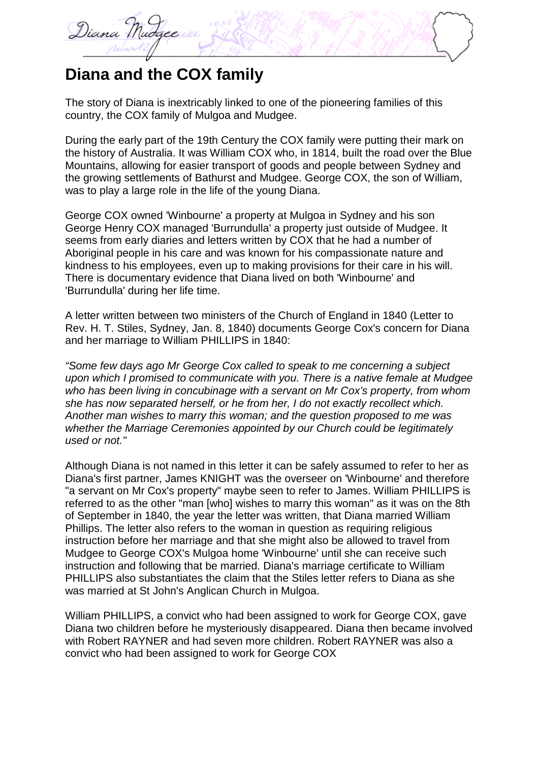

## **Diana and the COX family**

The story of Diana is inextricably linked to one of the pioneering families of this country, the COX family of Mulgoa and Mudgee.

During the early part of the 19th Century the COX family were putting their mark on the history of Australia. It was William COX who, in 1814, built the road over the Blue Mountains, allowing for easier transport of goods and people between Sydney and the growing settlements of Bathurst and Mudgee. George COX, the son of William, was to play a large role in the life of the young Diana.

George COX owned 'Winbourne' a property at Mulgoa in Sydney and his son George Henry COX managed 'Burrundulla' a property just outside of Mudgee. It seems from early diaries and letters written by COX that he had a number of Aboriginal people in his care and was known for his compassionate nature and kindness to his employees, even up to making provisions for their care in his will. There is documentary evidence that Diana lived on both 'Winbourne' and 'Burrundulla' during her life time.

A letter written between two ministers of the Church of England in 1840 (Letter to Rev. H. T. Stiles, Sydney, Jan. 8, 1840) documents George Cox's concern for Diana and her marriage to William PHILLIPS in 1840:

*"Some few days ago Mr George Cox called to speak to me concerning a subject upon which I promised to communicate with you. There is a native female at Mudgee who has been living in concubinage with a servant on Mr Cox's property, from whom she has now separated herself, or he from her, I do not exactly recollect which. Another man wishes to marry this woman; and the question proposed to me was whether the Marriage Ceremonies appointed by our Church could be legitimately used or not."*

Although Diana is not named in this letter it can be safely assumed to refer to her as Diana's first partner, James KNIGHT was the overseer on 'Winbourne' and therefore "a servant on Mr Cox's property" maybe seen to refer to James. William PHILLIPS is referred to as the other "man [who] wishes to marry this woman" as it was on the 8th of September in 1840, the year the letter was written, that Diana married William Phillips. The letter also refers to the woman in question as requiring religious instruction before her marriage and that she might also be allowed to travel from Mudgee to George COX's Mulgoa home 'Winbourne' until she can receive such instruction and following that be married. Diana's marriage certificate to William PHILLIPS also substantiates the claim that the Stiles letter refers to Diana as she was married at St John's Anglican Church in Mulgoa.

William PHILLIPS, a convict who had been assigned to work for George COX, gave Diana two children before he mysteriously disappeared. Diana then became involved with Robert RAYNER and had seven more children. Robert RAYNER was also a convict who had been assigned to work for George COX